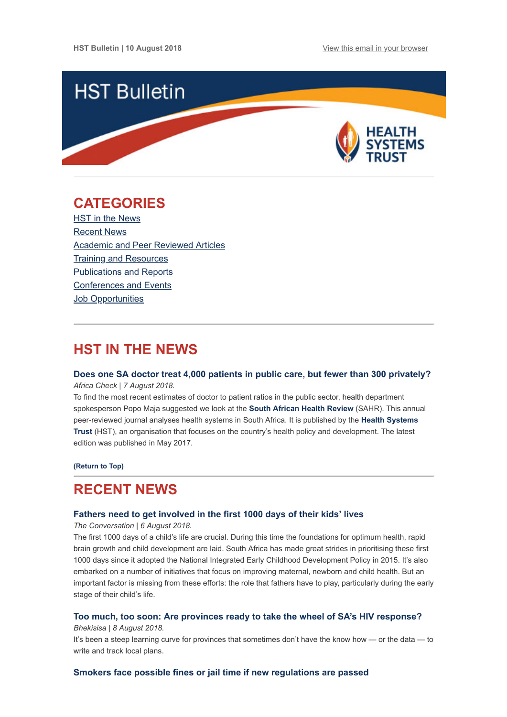

## <span id="page-0-1"></span>**CATEGORIES**

HST in the News [Recent News](#page-0-0) [Academic and Peer Reviewed Articles](#page-1-0) [Training and Resources](#page-3-0) [Publications and Reports](#page-3-1) [Conferences and Events](#page-3-2) **Job Opportunities** 

## **HST IN THE NEWS**

## **[Does one SA doctor treat 4,000 patients in public care, but fewer than 300 privately?](https://africacheck.org/reports/does-one-sa-doctor-treat-over-4000-patients-in-public-care-but-less-than-300-privately/)**

*Africa Check | 7 August 2018.*

To find the most recent estimates of doctor to patient ratios in the public sector, health department spokesperson Popo Maja suggested we look at the **[South African Health Review](http://www.hst.org.za/publications/South%20African%20Health%20Reviews/HST%20SAHR%202017%20Web%20Version.pdf)** (SAHR). This annual peer-reviewed journal analyses health systems in South Africa. It is published by the **Health Systems Trust** [\(HST\), an organisation that focuses on the country's health policy and development. The latest](http://www.hst.org.za/) edition was published in May 2017.

**[\(Return to Top\)](#page-0-1)**

## <span id="page-0-0"></span>**RECENT NEWS**

#### **[Fathers need to get involved in the first 1000 days of their kids' lives](https://theconversation.com/fathers-need-to-get-involved-in-the-first-1000-days-of-their-kids-lives-100779)**

*The Conversation | 6 August 2018.*

The first 1000 days of a child's life are crucial. During this time the foundations for optimum health, rapid brain growth and child development are laid. South Africa has made great strides in prioritising these first 1000 days since it adopted the National Integrated Early Childhood Development Policy in 2015. It's also embarked on a number of initiatives that focus on improving maternal, newborn and child health. But an important factor is missing from these efforts: the role that fathers have to play, particularly during the early stage of their child's life.

## **[Too much, too soon: Are provinces ready to take the wheel of SA's HIV response?](https://bhekisisa.org/article/2018-08-08-00-too-much-too-soon-are-provinces-ready-to-take-the-wheel-of-sas-hiv-response)**

### *Bhekisisa | 8 August 2018.*

It's been a steep learning curve for provinces that sometimes don't have the know how — or the data — to write and track local plans.

## **[Smokers face possible fines or jail time if new regulations are passed](https://www.timeslive.co.za/sunday-times/news/2018-08-04-smokers-face-possible-fines-or-jail-time-if-new-regulations-are-passed/)**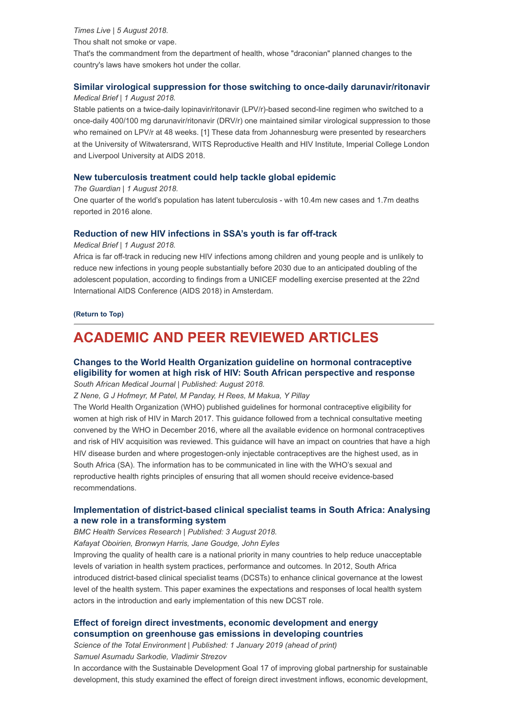*Times Live | 5 August 2018.* Thou shalt not smoke or vape. That's the commandment from the department of health, whose "draconian" planned changes to the country's laws have smokers hot under the collar.

### **[Similar virological suppression for those switching to once-daily darunavir/ritonavir](https://www.medicalbrief.co.za/archives/similar-virological-suppression-switching-daily-darunavirritonavir/)** *Medical Brief | 1 August 2018.*

Stable patients on a twice-daily lopinavir/ritonavir (LPV/r)-based second-line regimen who switched to a once-daily 400/100 mg darunavir/ritonavir (DRV/r) one maintained similar virological suppression to those who remained on LPV/r at 48 weeks. [1] These data from Johannesburg were presented by researchers at the University of Witwatersrand, WITS Reproductive Health and HIV Institute, Imperial College London and Liverpool University at AIDS 2018.

### **[New tuberculosis treatment could help tackle global epidemic](https://www.theguardian.com/society/2018/aug/01/new-tuberculosis-treatment-could-help-tackle-global-epidemic)**

#### *The Guardian | 1 August 2018.*

One quarter of the world's population has latent tuberculosis - with 10.4m new cases and 1.7m deaths reported in 2016 alone.

### **[Reduction of new HIV infections in SSA's youth is far off-track](https://www.medicalbrief.co.za/archives/reduction-new-hiv-infections-ssas-youth-far-off-track/)**

#### *Medical Brief | 1 August 2018.*

Africa is far off-track in reducing new HIV infections among children and young people and is unlikely to reduce new infections in young people substantially before 2030 due to an anticipated doubling of the adolescent population, according to findings from a UNICEF modelling exercise presented at the 22nd International AIDS Conference (AIDS 2018) in Amsterdam.

**[\(Return to Top\)](#page-0-1)**

# <span id="page-1-0"></span>**ACADEMIC AND PEER REVIEWED ARTICLES**

## **Changes to the World Health Organization guideline on hormonal contraceptive [eligibility for women at high risk of HIV: South African perspective and response](http://www.samj.org.za/index.php/samj/article/view/12364/8556)** *South African Medical Journal | Published: August 2018.*

*Z Nene, G J Hofmeyr, M Patel, M Panday, H Rees, M Makua, Y Pillay*

The World Health Organization (WHO) published guidelines for hormonal contraceptive eligibility for women at high risk of HIV in March 2017. This guidance followed from a technical consultative meeting convened by the WHO in December 2016, where all the available evidence on hormonal contraceptives and risk of HIV acquisition was reviewed. This guidance will have an impact on countries that have a high HIV disease burden and where progestogen-only injectable contraceptives are the highest used, as in South Africa (SA). The information has to be communicated in line with the WHO's sexual and reproductive health rights principles of ensuring that all women should receive evidence-based recommendations.

## **[Implementation of district-based clinical specialist teams in South Africa: Analysing](https://bmchealthservres.biomedcentral.com/articles/10.1186/s12913-018-3377-2) a new role in a transforming system**

#### *BMC Health Services Research | Published: 3 August 2018.*

*Kafayat Oboirien, Bronwyn Harris, Jane Goudge, John Eyles*

Improving the quality of health care is a national priority in many countries to help reduce unacceptable levels of variation in health system practices, performance and outcomes. In 2012, South Africa introduced district-based clinical specialist teams (DCSTs) to enhance clinical governance at the lowest level of the health system. This paper examines the expectations and responses of local health system actors in the introduction and early implementation of this new DCST role.

## **[Effect of foreign direct investments, economic development and energy](https://www.sciencedirect.com/science/article/pii/S0048969718328602?via%3Dihub) consumption on greenhouse gas emissions in developing countries**

*Science of the Total Environment | Published: 1 January 2019 (ahead of print)* 

*Samuel Asumadu Sarkodie, Vladimir Strezov*

In accordance with the Sustainable Development Goal 17 of improving global partnership for sustainable development, this study examined the effect of foreign direct investment inflows, economic development,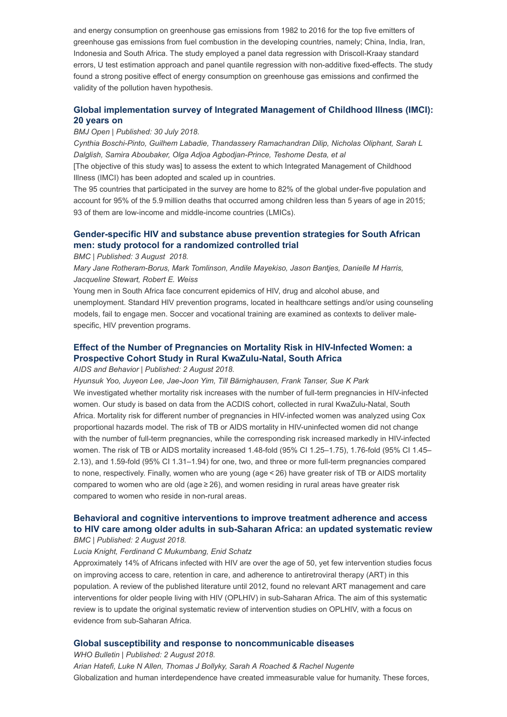and energy consumption on greenhouse gas emissions from 1982 to 2016 for the top five emitters of greenhouse gas emissions from fuel combustion in the developing countries, namely; China, India, Iran, Indonesia and South Africa. The study employed a panel data regression with Driscoll-Kraay standard errors, U test estimation approach and panel quantile regression with non-additive fixed-effects. The study found a strong positive effect of energy consumption on greenhouse gas emissions and confirmed the validity of the pollution haven hypothesis.

## **[Global implementation survey of Integrated Management of Childhood Illness \(IMCI\):](https://bmjopen.bmj.com/content/8/7/e019079) 20 years on**

#### *BMJ Open | Published: 30 July 2018.*

*Cynthia Boschi-Pinto, Guilhem Labadie, Thandassery Ramachandran Dilip, Nicholas Oliphant, Sarah L Dalglish, Samira Aboubaker, Olga Adjoa Agbodjan-Prince, Teshome Desta, et al*

[The objective of this study was] to assess the extent to which Integrated Management of Childhood Illness (IMCI) has been adopted and scaled up in countries.

The 95 countries that participated in the survey are home to 82% of the global under-five population and account for 95% of the 5.9 million deaths that occurred among children less than 5 years of age in 2015; 93 of them are low-income and middle-income countries (LMICs).

## **[Gender-specific HIV and substance abuse prevention strategies for South African](https://trialsjournal.biomedcentral.com/articles/10.1186/s13063-018-2804-3) men: study protocol for a randomized controlled trial**

*BMC | Published: 3 August 2018.*

*Mary Jane Rotheram-Borus, Mark Tomlinson, Andile Mayekiso, Jason Bantjes, Danielle M Harris, Jacqueline Stewart, Robert E. Weiss*

Young men in South Africa face concurrent epidemics of HIV, drug and alcohol abuse, and unemployment. Standard HIV prevention programs, located in healthcare settings and/or using counseling models, fail to engage men. Soccer and vocational training are examined as contexts to deliver malespecific, HIV prevention programs.

## **[Effect of the Number of Pregnancies on Mortality Risk in HIV-Infected Women: a](https://link.springer.com/article/10.1007%2Fs10461-018-2232-0) Prospective Cohort Study in Rural KwaZulu-Natal, South Africa**

#### *AIDS and Behavior | Published: 2 August 2018.*

*Hyunsuk Yoo, Juyeon Lee, Jae-Joon Yim, Till Bärnighausen, Frank Tanser, Sue K Park* We investigated whether mortality risk increases with the number of full-term pregnancies in HIV-infected women. Our study is based on data from the ACDIS cohort, collected in rural KwaZulu-Natal, South Africa. Mortality risk for different number of pregnancies in HIV-infected women was analyzed using Cox proportional hazards model. The risk of TB or AIDS mortality in HIV-uninfected women did not change with the number of full-term pregnancies, while the corresponding risk increased markedly in HIV-infected women. The risk of TB or AIDS mortality increased 1.48-fold (95% CI 1.25–1.75), 1.76-fold (95% CI 1.45– 2.13), and 1.59-fold (95% CI 1.31–1.94) for one, two, and three or more full-term pregnancies compared to none, respectively. Finally, women who are young (age < 26) have greater risk of TB or AIDS mortality compared to women who are old (age ≥ 26), and women residing in rural areas have greater risk compared to women who reside in non-rural areas.

### **Behavioral and cognitive interventions to improve treatment adherence and access [to HIV care among older adults in sub-Saharan Africa: an updated systematic review](https://systematicreviewsjournal.biomedcentral.com/articles/10.1186/s13643-018-0759-9)** *BMC | Published: 2 August 2018.*

#### *Lucia Knight, Ferdinand C Mukumbang, Enid Schatz*

Approximately 14% of Africans infected with HIV are over the age of 50, yet few intervention studies focus on improving access to care, retention in care, and adherence to antiretroviral therapy (ART) in this population. A review of the published literature until 2012, found no relevant ART management and care interventions for older people living with HIV (OPLHIV) in sub-Saharan Africa. The aim of this systematic review is to update the original systematic review of intervention studies on OPLHIV, with a focus on evidence from sub-Saharan Africa.

#### **[Global susceptibility and response to noncommunicable diseases](http://www.who.int/bulletin/volumes/96/8/17-206763.pdf)**

*WHO Bulletin | Published: 2 August 2018.* 

*Arian Hatefi, Luke N Allen, Thomas J Bollyky, Sarah A Roached & Rachel Nugente* Globalization and human interdependence have created immeasurable value for humanity. These forces,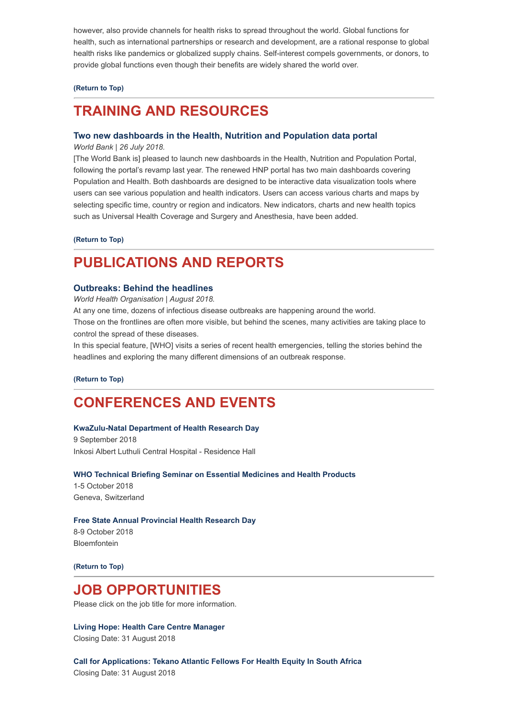however, also provide channels for health risks to spread throughout the world. Global functions for health, such as international partnerships or research and development, are a rational response to global health risks like pandemics or globalized supply chains. Self-interest compels governments, or donors, to provide global functions even though their benefits are widely shared the world over.

#### **[\(Return to Top\)](#page-0-1)**

## <span id="page-3-0"></span>**TRAINING AND RESOURCES**

#### **[Two new dashboards in the Health, Nutrition and Population data portal](http://blogs.worldbank.org/opendata/introducing-two-new-dashboards-health-nutrition-and-population-data-portal?cid=ECR_E_NewsletterWeekly_EN_EXT&deliveryName=DM4469%20%C2%A0)**

*World Bank | 26 July 2018.*

[The World Bank is] pleased to launch new dashboards in the Health, Nutrition and Population Portal, following the portal's revamp last year. The renewed HNP portal has two main dashboards covering Population and Health. Both dashboards are designed to be interactive data visualization tools where users can see various population and health indicators. Users can access various charts and maps by selecting specific time, country or region and indicators. New indicators, charts and new health topics such as Universal Health Coverage and Surgery and Anesthesia, have been added.

#### **[\(Return to Top\)](#page-0-1)**

## <span id="page-3-1"></span>**PUBLICATIONS AND REPORTS**

#### **[Outbreaks: Behind the headlines](http://www.who.int/emergencies/outbreaks-behind-the-headlines)**

*World Health Organisation | August 2018.*

At any one time, dozens of infectious disease outbreaks are happening around the world.

Those on the frontlines are often more visible, but behind the scenes, many activities are taking place to control the spread of these diseases.

In this special feature, [WHO] visits a series of recent health emergencies, telling the stories behind the headlines and exploring the many different dimensions of an outbreak response.

**[\(Return to Top\)](#page-0-1)**

## <span id="page-3-2"></span>**CONFERENCES AND EVENTS**

#### **[KwaZulu-Natal Department of Health Research Day](http://www.hst.org.za/Lists/HST%20Events/DispForm.aspx?ID=31)**

9 September 2018 Inkosi Albert Luthuli Central Hospital - Residence Hall

#### **[WHO Technical Briefing Seminar on Essential Medicines and Health Products](http://www.who.int/medicines/technical_briefing/tbs/en/)**

1-5 October 2018 Geneva, Switzerland

### **[Free State Annual Provincial Health Research Day](http://www.hst.org.za/Lists/HST%20Events/DispForm.aspx?ID=30)**

8-9 October 2018 Bloemfontein

**[\(Return to Top\)](#page-0-1)**

## **JOB OPPORTUNITIES**

Please click on the job title for more information.

**[Living Hope: Health Care Centre Manager](http://www.ngopulse.org/opportunity/2018/08/01/health-care-centre-manager)** Closing Date: 31 August 2018

**[Call for Applications: Tekano Atlantic Fellows For Health Equity In South Africa](https://www.tekano.org.za/apply/)** Closing Date: 31 August 2018